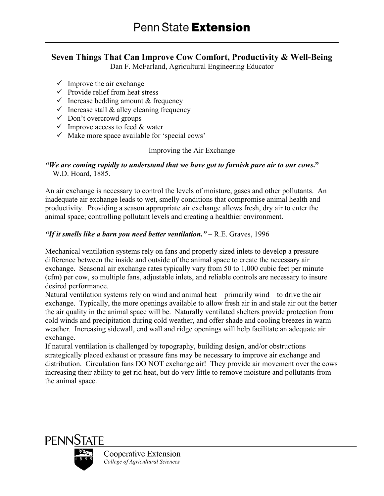# **Seven Things That Can Improve Cow Comfort, Productivity & Well-Being**

Dan F. McFarland, Agricultural Engineering Educator

- $\checkmark$  Improve the air exchange
- $\checkmark$  Provide relief from heat stress
- $\checkmark$  Increase bedding amount & frequency
- $\checkmark$  Increase stall & alley cleaning frequency
- $\checkmark$  Don't overcrowd groups
- $\checkmark$  Improve access to feed & water
- $\checkmark$  Make more space available for 'special cows'

# Improving the Air Exchange

# *"We are coming rapidly to understand that we have got to furnish pure air to our cows***."** – W.D. Hoard, 1885.

An air exchange is necessary to control the levels of moisture, gases and other pollutants. An inadequate air exchange leads to wet, smelly conditions that compromise animal health and productivity. Providing a season appropriate air exchange allows fresh, dry air to enter the animal space; controlling pollutant levels and creating a healthier environment.

# *"If it smells like a barn you need better ventilation."* – R.E. Graves, 1996

Mechanical ventilation systems rely on fans and properly sized inlets to develop a pressure difference between the inside and outside of the animal space to create the necessary air exchange. Seasonal air exchange rates typically vary from 50 to 1,000 cubic feet per minute (cfm) per cow, so multiple fans, adjustable inlets, and reliable controls are necessary to insure desired performance.

Natural ventilation systems rely on wind and animal heat – primarily wind – to drive the air exchange. Typically, the more openings available to allow fresh air in and stale air out the better the air quality in the animal space will be. Naturally ventilated shelters provide protection from cold winds and precipitation during cold weather, and offer shade and cooling breezes in warm weather. Increasing sidewall, end wall and ridge openings will help facilitate an adequate air exchange.

If natural ventilation is challenged by topography, building design, and/or obstructions strategically placed exhaust or pressure fans may be necessary to improve air exchange and distribution. Circulation fans DO NOT exchange air! They provide air movement over the cows increasing their ability to get rid heat, but do very little to remove moisture and pollutants from the animal space.



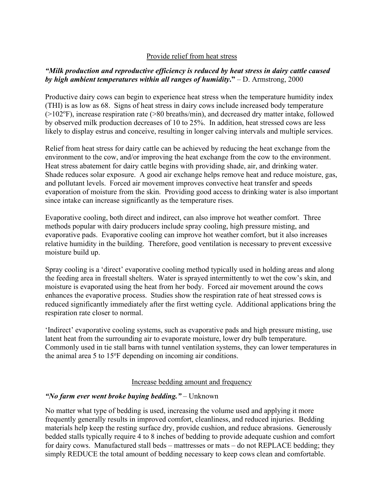#### Provide relief from heat stress

# *"Milk production and reproductive efficiency is reduced by heat stress in dairy cattle caused by high ambient temperatures within all ranges of humidity***."** – D. Armstrong, 2000

Productive dairy cows can begin to experience heat stress when the temperature humidity index (THI) is as low as 68. Signs of heat stress in dairy cows include increased body temperature (>102°F), increase respiration rate (>80 breaths/min), and decreased dry matter intake, followed by observed milk production decreases of 10 to 25%. In addition, heat stressed cows are less likely to display estrus and conceive, resulting in longer calving intervals and multiple services.

Relief from heat stress for dairy cattle can be achieved by reducing the heat exchange from the environment to the cow, and/or improving the heat exchange from the cow to the environment. Heat stress abatement for dairy cattle begins with providing shade, air, and drinking water. Shade reduces solar exposure. A good air exchange helps remove heat and reduce moisture, gas, and pollutant levels. Forced air movement improves convective heat transfer and speeds evaporation of moisture from the skin. Providing good access to drinking water is also important since intake can increase significantly as the temperature rises.

Evaporative cooling, both direct and indirect, can also improve hot weather comfort. Three methods popular with dairy producers include spray cooling, high pressure misting, and evaporative pads. Evaporative cooling can improve hot weather comfort, but it also increases relative humidity in the building. Therefore, good ventilation is necessary to prevent excessive moisture build up.

Spray cooling is a 'direct' evaporative cooling method typically used in holding areas and along the feeding area in freestall shelters. Water is sprayed intermittently to wet the cow's skin, and moisture is evaporated using the heat from her body. Forced air movement around the cows enhances the evaporative process. Studies show the respiration rate of heat stressed cows is reduced significantly immediately after the first wetting cycle. Additional applications bring the respiration rate closer to normal.

'Indirect' evaporative cooling systems, such as evaporative pads and high pressure misting, use latent heat from the surrounding air to evaporate moisture, lower dry bulb temperature. Commonly used in tie stall barns with tunnel ventilation systems, they can lower temperatures in the animal area 5 to 15°F depending on incoming air conditions.

#### Increase bedding amount and frequency

# *"No farm ever went broke buying bedding."* – Unknown

No matter what type of bedding is used, increasing the volume used and applying it more frequently generally results in improved comfort, cleanliness, and reduced injuries. Bedding materials help keep the resting surface dry, provide cushion, and reduce abrasions. Generously bedded stalls typically require 4 to 8 inches of bedding to provide adequate cushion and comfort for dairy cows. Manufactured stall beds – mattresses or mats – do not REPLACE bedding; they simply REDUCE the total amount of bedding necessary to keep cows clean and comfortable.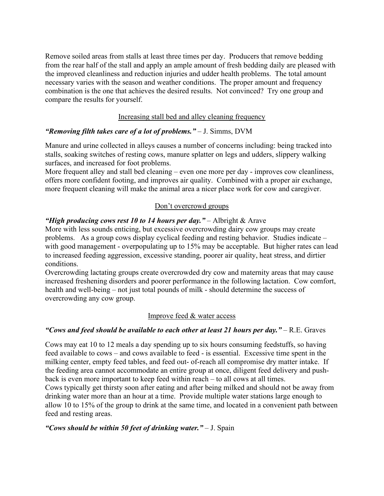Remove soiled areas from stalls at least three times per day. Producers that remove bedding from the rear half of the stall and apply an ample amount of fresh bedding daily are pleased with the improved cleanliness and reduction injuries and udder health problems. The total amount necessary varies with the season and weather conditions. The proper amount and frequency combination is the one that achieves the desired results. Not convinced? Try one group and compare the results for yourself.

#### Increasing stall bed and alley cleaning frequency

#### *"Removing filth takes care of a lot of problems."* – J. Simms, DVM

Manure and urine collected in alleys causes a number of concerns including: being tracked into stalls, soaking switches of resting cows, manure splatter on legs and udders, slippery walking surfaces, and increased for foot problems.

More frequent alley and stall bed cleaning – even one more per day - improves cow cleanliness, offers more confident footing, and improves air quality. Combined with a proper air exchange, more frequent cleaning will make the animal area a nicer place work for cow and caregiver.

# Don't overcrowd groups

# *"High producing cows rest 10 to 14 hours per day."* – Albright & Arave

More with less sounds enticing, but excessive overcrowding dairy cow groups may create problems. As a group cows display cyclical feeding and resting behavior. Studies indicate – with good management - overpopulating up to 15% may be acceptable. But higher rates can lead to increased feeding aggression, excessive standing, poorer air quality, heat stress, and dirtier conditions.

Overcrowding lactating groups create overcrowded dry cow and maternity areas that may cause increased freshening disorders and poorer performance in the following lactation. Cow comfort, health and well-being – not just total pounds of milk - should determine the success of overcrowding any cow group.

#### Improve feed & water access

#### *"Cows and feed should be available to each other at least 21 hours per day."* – R.E. Graves

Cows may eat 10 to 12 meals a day spending up to six hours consuming feedstuffs, so having feed available to cows – and cows available to feed - is essential. Excessive time spent in the milking center, empty feed tables, and feed out- of-reach all compromise dry matter intake. If the feeding area cannot accommodate an entire group at once, diligent feed delivery and pushback is even more important to keep feed within reach – to all cows at all times.

Cows typically get thirsty soon after eating and after being milked and should not be away from drinking water more than an hour at a time. Provide multiple water stations large enough to allow 10 to 15% of the group to drink at the same time, and located in a convenient path between feed and resting areas.

#### *"Cows should be within 50 feet of drinking water."* – J. Spain